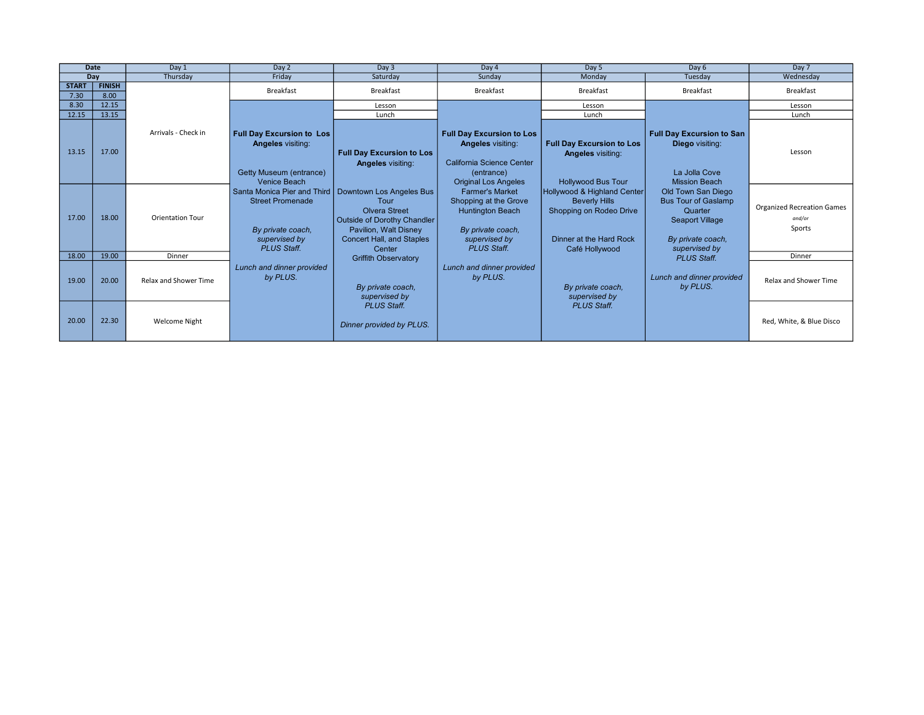| <b>Date</b>          |                       | Day 1                   | Day 2                                                                                                                                                                                          | Day 3                                                                                                                                                                                                                                                        | Day 4                                                                                                                                                                                                                                                                     | Day 5                                                                                                                                                                                                                    | Day 6                                                                                                                                                                                                                              | Day 7                                                 |
|----------------------|-----------------------|-------------------------|------------------------------------------------------------------------------------------------------------------------------------------------------------------------------------------------|--------------------------------------------------------------------------------------------------------------------------------------------------------------------------------------------------------------------------------------------------------------|---------------------------------------------------------------------------------------------------------------------------------------------------------------------------------------------------------------------------------------------------------------------------|--------------------------------------------------------------------------------------------------------------------------------------------------------------------------------------------------------------------------|------------------------------------------------------------------------------------------------------------------------------------------------------------------------------------------------------------------------------------|-------------------------------------------------------|
| Day                  |                       | Thursday                | Friday                                                                                                                                                                                         | Saturday                                                                                                                                                                                                                                                     | Sunday                                                                                                                                                                                                                                                                    | Monday                                                                                                                                                                                                                   | Tuesday                                                                                                                                                                                                                            | Wednesday                                             |
| <b>START</b><br>7.30 | <b>FINISH</b><br>8.00 |                         | <b>Breakfast</b>                                                                                                                                                                               | <b>Breakfast</b>                                                                                                                                                                                                                                             | <b>Breakfast</b>                                                                                                                                                                                                                                                          | <b>Breakfast</b>                                                                                                                                                                                                         | <b>Breakfast</b>                                                                                                                                                                                                                   | Breakfast                                             |
| 8.30                 | 12.15                 |                         |                                                                                                                                                                                                | Lesson                                                                                                                                                                                                                                                       |                                                                                                                                                                                                                                                                           | Lesson                                                                                                                                                                                                                   |                                                                                                                                                                                                                                    | Lesson                                                |
| 12.15                | 13.15                 |                         |                                                                                                                                                                                                | Lunch                                                                                                                                                                                                                                                        |                                                                                                                                                                                                                                                                           | Lunch                                                                                                                                                                                                                    |                                                                                                                                                                                                                                    | Lunch                                                 |
| 13.15                | 17.00                 | Arrivals - Check in     | <b>Full Day Excursion to Los</b><br><b>Angeles visiting:</b><br>Getty Museum (entrance)<br>Venice Beach<br><b>Street Promenade</b><br>By private coach.<br>supervised by<br><b>PLUS Staff.</b> | <b>Full Day Excursion to Los</b><br><b>Angeles visiting:</b><br>Santa Monica Pier and Third   Downtown Los Angeles Bus<br>Tour<br><b>Olvera Street</b><br>Outside of Dorothy Chandler<br>Pavilion, Walt Disney<br><b>Concert Hall, and Staples</b><br>Center | <b>Full Day Excursion to Los</b><br><b>Angeles visiting:</b><br>California Science Center<br>(entrance)<br><b>Original Los Angeles</b><br><b>Farmer's Market</b><br>Shopping at the Grove<br>Huntington Beach<br>By private coach.<br>supervised by<br><b>PLUS Staff.</b> | <b>Full Day Excursion to Los</b><br><b>Angeles visiting:</b><br><b>Hollywood Bus Tour</b><br>Hollywood & Highland Center<br><b>Beverly Hills</b><br>Shopping on Rodeo Drive<br>Dinner at the Hard Rock<br>Café Hollywood | <b>Full Day Excursion to San</b><br><b>Diego</b> visiting:<br>La Jolla Cove<br><b>Mission Beach</b><br>Old Town San Diego<br><b>Bus Tour of Gaslamp</b><br>Quarter<br><b>Seaport Village</b><br>By private coach,<br>supervised by | Lesson                                                |
| 17.00                | 18.00                 | <b>Orientation Tour</b> |                                                                                                                                                                                                |                                                                                                                                                                                                                                                              |                                                                                                                                                                                                                                                                           |                                                                                                                                                                                                                          |                                                                                                                                                                                                                                    | <b>Organized Recreation Games</b><br>and/or<br>Sports |
| 18.00                | 19.00                 | Dinner                  |                                                                                                                                                                                                | <b>Griffith Observatory</b>                                                                                                                                                                                                                                  |                                                                                                                                                                                                                                                                           |                                                                                                                                                                                                                          | <b>PLUS Staff.</b>                                                                                                                                                                                                                 | Dinner                                                |
| 19.00                | 20.00                 | Relax and Shower Time   | Lunch and dinner provided<br>by PLUS.                                                                                                                                                          | By private coach,<br>supervised by                                                                                                                                                                                                                           | Lunch and dinner provided<br>by PLUS.                                                                                                                                                                                                                                     | By private coach,<br>supervised by                                                                                                                                                                                       | Lunch and dinner provided<br>by PLUS.                                                                                                                                                                                              | Relax and Shower Time                                 |
| 20.00                | 22.30                 | Welcome Night           |                                                                                                                                                                                                | <b>PLUS Staff.</b><br>Dinner provided by PLUS.                                                                                                                                                                                                               |                                                                                                                                                                                                                                                                           | <b>PLUS Staff.</b>                                                                                                                                                                                                       |                                                                                                                                                                                                                                    | Red, White, & Blue Disco                              |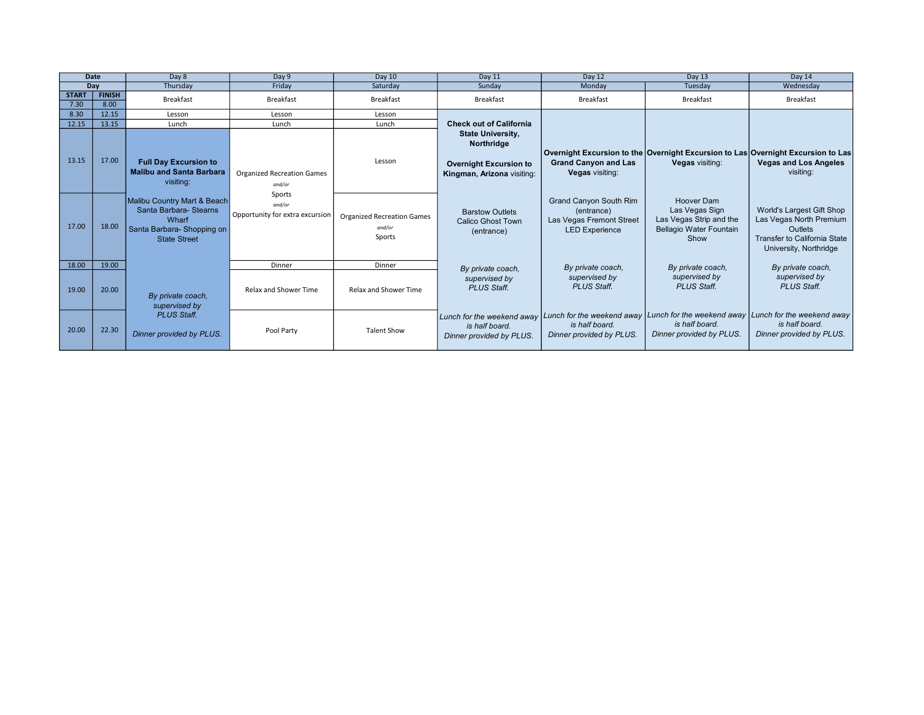| Date                 |                       | Day 8                                                                                                               | Day 9                                               | Day 10                                                | Day 11                                                                                                | Day 12                                                                                           | Day 13                                                                                                     | Day 14                                                                                                                                  |
|----------------------|-----------------------|---------------------------------------------------------------------------------------------------------------------|-----------------------------------------------------|-------------------------------------------------------|-------------------------------------------------------------------------------------------------------|--------------------------------------------------------------------------------------------------|------------------------------------------------------------------------------------------------------------|-----------------------------------------------------------------------------------------------------------------------------------------|
| Day                  |                       | Thursday                                                                                                            | Friday                                              | Saturday                                              | Sunday                                                                                                | Monday                                                                                           | Tuesday                                                                                                    | Wednesday                                                                                                                               |
| <b>START</b><br>7.30 | <b>FINISH</b><br>8.00 | <b>Breakfast</b>                                                                                                    | <b>Breakfast</b>                                    | <b>Breakfast</b>                                      | <b>Breakfast</b>                                                                                      | Breakfast                                                                                        | <b>Breakfast</b>                                                                                           | Breakfast                                                                                                                               |
| 8.30                 | 12.15                 | Lesson                                                                                                              | Lesson                                              | Lesson                                                |                                                                                                       |                                                                                                  |                                                                                                            |                                                                                                                                         |
| 12.15                | 13.15                 | Lunch                                                                                                               | Lunch                                               | Lunch                                                 | <b>Check out of California</b>                                                                        |                                                                                                  |                                                                                                            |                                                                                                                                         |
| 13.15                | 17.00                 | <b>Full Day Excursion to</b><br><b>Malibu and Santa Barbara</b><br>visiting:<br>and/or                              | <b>Organized Recreation Games</b>                   | Lesson                                                | <b>State University,</b><br>Northridge<br><b>Overnight Excursion to</b><br>Kingman, Arizona visiting: | <b>Grand Canyon and Las</b><br>Vegas visiting:                                                   | Overnight Excursion to the Overnight Excursion to Las Overnight Excursion to Las<br><b>Vegas</b> visiting: | <b>Vegas and Los Angeles</b><br>visiting:                                                                                               |
| 17.00                | 18.00                 | Malibu Country Mart & Beach<br>Santa Barbara- Stearns<br>Wharf<br>Santa Barbara- Shopping on<br><b>State Street</b> | Sports<br>and/or<br>Opportunity for extra excursion | <b>Organized Recreation Games</b><br>and/or<br>Sports | <b>Barstow Outlets</b><br><b>Calico Ghost Town</b><br>(entrance)                                      | <b>Grand Canyon South Rim</b><br>(entrance)<br>Las Vegas Fremont Street<br><b>LED Experience</b> | Hoover Dam<br>Las Vegas Sign<br>Las Vegas Strip and the<br><b>Bellagio Water Fountain</b><br>Show          | World's Largest Gift Shop<br>Las Vegas North Premium<br><b>Outlets</b><br><b>Transfer to California State</b><br>University, Northridge |
| 18.00                | 19.00                 |                                                                                                                     | Dinner                                              | Dinner                                                |                                                                                                       | By private coach,                                                                                | By private coach,                                                                                          | By private coach.                                                                                                                       |
| 19.00                | 20.00                 | By private coach,<br>supervised by                                                                                  | <b>Relax and Shower Time</b>                        | Relax and Shower Time                                 | By private coach,<br>supervised by<br><b>PLUS Staff.</b>                                              | supervised by<br><b>PLUS Staff.</b>                                                              | supervised by<br><b>PLUS Staff.</b>                                                                        | supervised by<br><b>PLUS Staff.</b>                                                                                                     |
| 20.00                | 22.30                 | <b>PLUS Staff.</b><br>Dinner provided by PLUS.                                                                      | Pool Party                                          | <b>Talent Show</b>                                    | Lunch for the weekend away<br>is half board.<br>Dinner provided by PLUS.                              | Lunch for the weekend away<br>is half board.<br>Dinner provided by PLUS.                         | Lunch for the weekend away LLunch for the weekend away<br>is half board.<br>Dinner provided by PLUS.       | is half board.<br>Dinner provided by PLUS.                                                                                              |